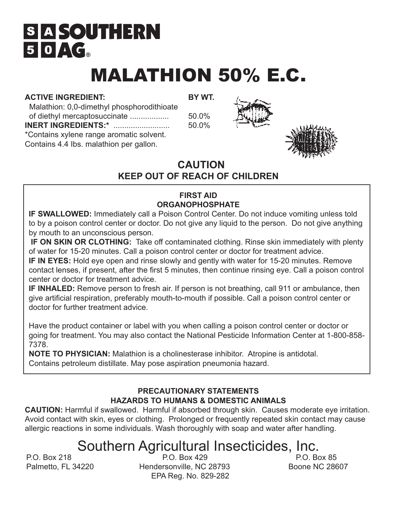## **SIA SOUTHERN**  $50 \triangle G$

# MALATHION 50% E.C.

### **ACTIVE INGREDIENT: BY WT.**

 Malathion: 0,0-dimethyl phosphorodithioate of diethyl mercaptosuccinate .................. 50.0% **INERT INGREDIENTS:\*** .......................... 50.0% \*Contains xylene range aromatic solvent. Contains 4.4 Ibs. malathion per gallon.





## **CAUTION KEEP OUT OF REACH OF CHILDREN**

### **FIRST AID ORGANOPHOSPHATE**

**IF SWALLOWED:** Immediately call a Poison Control Center. Do not induce vomiting unless told to by a poison control center or doctor. Do not give any liquid to the person. Do not give anything by mouth to an unconscious person.

 **IF ON SKIN OR CLOTHING:** Take off contaminated clothing. Rinse skin immediately with plenty of water for 15-20 minutes. Call a poison control center or doctor for treatment advice.

**IF IN EYES:** Hold eye open and rinse slowly and gently with water for 15-20 minutes. Remove contact lenses, if present, after the first 5 minutes, then continue rinsing eye. Call a poison control center or doctor for treatment advice.

**IF INHALED:** Remove person to fresh air. If person is not breathing, call 911 or ambulance, then give artificial respiration, preferably mouth-to-mouth if possible. Call a poison control center or doctor for further treatment advice.

Have the product container or label with you when calling a poison control center or doctor or going for treatment. You may also contact the National Pesticide Information Center at 1-800-858- 7378.

**NOTE TO PHYSICIAN:** Malathion is a cholinesterase inhibitor. Atropine is antidotal. Contains petroleum distillate. May pose aspiration pneumonia hazard.

#### **PRECAUTIONARY STATEMENTS HAZARDS TO HUMANS & DOMESTIC ANIMALS**

**CAUTION:** Harmful if swallowed. Harmful if absorbed through skin. Causes moderate eye irritation. Avoid contact with skin, eyes or clothing. Prolonged or frequently repeated skin contact may cause allergic reactions in some individuals. Wash thoroughly with soap and water after handling.

## Southern Agricultural Insecticides, Inc.<br>RO, Box 429

P.O. Box 218 P.O. Box 429 Palmetto, FL 34220 **Hendersonville, NC 28793** Boone NC 28607 EPA Reg. No. 829-282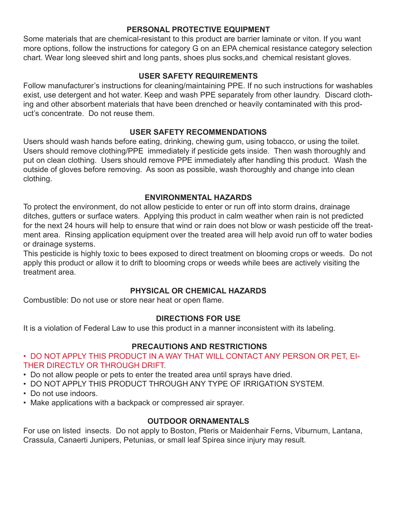#### **PERSONAL PROTECTIVE EQUIPMENT**

Some materials that are chemical-resistant to this product are barrier laminate or viton. If you want more options, follow the instructions for category G on an EPA chemical resistance category selection chart. Wear long sleeved shirt and long pants, shoes plus socks,and chemical resistant gloves.

#### **USER SAFETY REQUIREMENTS**

Follow manufacturer's instructions for cleaning/maintaining PPE. If no such instructions for washables exist, use detergent and hot water. Keep and wash PPE separately from other laundry. Discard clothing and other absorbent materials that have been drenched or heavily contaminated with this product's concentrate. Do not reuse them.

#### **USER SAFETY RECOMMENDATIONS**

Users should wash hands before eating, drinking, chewing gum, using tobacco, or using the toilet. Users should remove clothing/PPE immediately if pesticide gets inside. Then wash thoroughly and put on clean clothing. Users should remove PPE immediately after handling this product. Wash the outside of gloves before removing. As soon as possible, wash thoroughly and change into clean clothing.

#### **ENVIRONMENTAL HAZARDS**

To protect the environment, do not allow pesticide to enter or run off into storm drains, drainage ditches, gutters or surface waters. Applying this product in calm weather when rain is not predicted for the next 24 hours will help to ensure that wind or rain does not blow or wash pesticide off the treatment area. Rinsing application equipment over the treated area will help avoid run off to water bodies or drainage systems.

This pesticide is highly toxic to bees exposed to direct treatment on blooming crops or weeds. Do not apply this product or allow it to drift to blooming crops or weeds while bees are actively visiting the treatment area.

#### **PHYSICAL OR CHEMICAL HAZARDS**

Combustible: Do not use or store near heat or open flame.

#### **DIRECTIONS FOR USE**

It is a violation of Federal Law to use this product in a manner inconsistent with its labeling.

#### **PRECAUTIONS AND RESTRICTIONS**

- DO NOT APPLY THIS PRODUCT IN A WAY THAT WILL CONTACT ANY PERSON OR PET, EI-THER DIRECTLY OR THROUGH DRIFT.
- Do not allow people or pets to enter the treated area until sprays have dried.
- DO NOT APPLY THIS PRODUCT THROUGH ANY TYPE OF IRRIGATION SYSTEM.
- Do not use indoors.
- Make applications with a backpack or compressed air sprayer.

#### **OUTDOOR ORNAMENTALS**

For use on listed insects. Do not apply to Boston, Pteris or Maidenhair Ferns, Viburnum, Lantana, Crassula, Canaerti Junipers, Petunias, or small leaf Spirea since injury may result.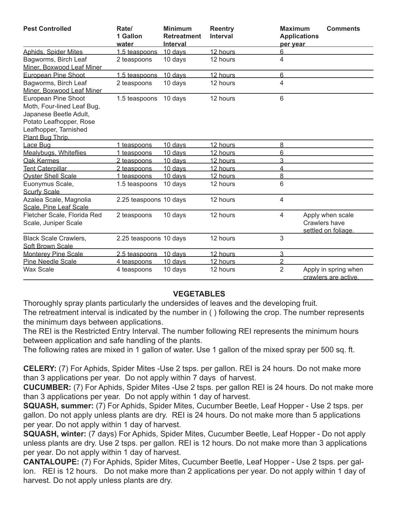| <b>Pest Controlled</b>                                                                                                                              | Rate/<br>1 Gallon<br>water | <b>Minimum</b><br><b>Retreatment</b><br><b>Interval</b> | <b>Reentry</b><br>Interval | <b>Maximum</b><br><b>Applications</b><br>per year | <b>Comments</b>                                          |
|-----------------------------------------------------------------------------------------------------------------------------------------------------|----------------------------|---------------------------------------------------------|----------------------------|---------------------------------------------------|----------------------------------------------------------|
| <b>Aphids, Spider Mites</b>                                                                                                                         | 1.5 teaspoons              | 10 davs                                                 | 12 hours                   | 6                                                 |                                                          |
| Bagworms, Birch Leaf<br>Miner. Boxwood Leaf Miner                                                                                                   | 2 teaspoons                | 10 days                                                 | 12 hours                   | 4                                                 |                                                          |
| <b>European Pine Shoot</b>                                                                                                                          | 1.5 teaspoons              | 10 days                                                 | 12 hours                   | 6                                                 |                                                          |
| Bagworms, Birch Leaf<br>Miner, Boxwood Leaf Miner                                                                                                   | 2 teaspoons                | 10 days                                                 | 12 hours                   | 4                                                 |                                                          |
| European Pine Shoot<br>Moth, Four-lined Leaf Bug,<br>Japanese Beetle Adult,<br>Potato Leafhopper, Rose<br>Leafhopper, Tarnished<br>Plant Bug Thrip. | 1.5 teaspoons              | 10 days                                                 | 12 hours                   | 6                                                 |                                                          |
| Lace Bug                                                                                                                                            | 1 teaspoons                | 10 davs                                                 | 12 hours                   | 8                                                 |                                                          |
| Mealybugs, Whiteflies                                                                                                                               | 1 teaspoons                | 10 davs                                                 | 12 hours                   | 6                                                 |                                                          |
| <b>Oak Kermes</b>                                                                                                                                   | 2 teaspoons                | 10 davs                                                 | 12 hours                   | 3                                                 |                                                          |
| <b>Tent Caterpillar</b>                                                                                                                             | 2 teaspoons                | 10 davs                                                 | 12 hours                   | 4                                                 |                                                          |
| <b>Oyster Shell Scale</b>                                                                                                                           | 1 teaspoons                | 10 davs                                                 | 12 hours                   | 8                                                 |                                                          |
| Euonymus Scale,<br><b>Scurfy Scale</b>                                                                                                              | 1.5 teaspoons              | 10 days                                                 | 12 hours                   | 6                                                 |                                                          |
| Azalea Scale, Magnolia<br>Scale. Pine Leaf Scale                                                                                                    | 2.25 teaspoons 10 days     |                                                         | 12 hours                   | 4                                                 |                                                          |
| Fletcher Scale, Florida Red<br>Scale, Juniper Scale                                                                                                 | 2 teaspoons                | 10 days                                                 | 12 hours                   | 4                                                 | Apply when scale<br>Crawlers have<br>settled on foliage. |
| <b>Black Scale Crawlers,</b><br>Soft Brown Scale                                                                                                    | 2.25 teaspoons 10 days     |                                                         | 12 hours                   | 3                                                 |                                                          |
| <b>Monterey Pine Scale</b>                                                                                                                          | 2.5 teaspoons              | 10 davs                                                 | 12 hours                   | 3                                                 |                                                          |
| <b>Pine Needle Scale</b>                                                                                                                            | 4 teaspoons                | 10 davs                                                 | 12 hours                   | $\overline{2}$                                    |                                                          |
| <b>Wax Scale</b>                                                                                                                                    | 4 teaspoons                | 10 days                                                 | 12 hours                   | $\overline{2}$                                    | Apply in spring when<br>crawlers are active.             |

#### **VEGETABLES**

Thoroughly spray plants particularly the undersides of leaves and the developing fruit. The retreatment interval is indicated by the number in ( ) following the crop. The number represents the minimum days between applications.

The REI is the Restricted Entry Interval. The number following REI represents the minimum hours between application and safe handling of the plants.

The following rates are mixed in 1 gallon of water. Use 1 gallon of the mixed spray per 500 sq. ft.

**CELERY:** (7) For Aphids, Spider Mites -Use 2 tsps. per gallon. REI is 24 hours. Do not make more than 3 applications per year. Do not apply within 7 days of harvest.

**CUCUMBER:** (7) For Aphids, Spider Mites -Use 2 tsps. per gallon REI is 24 hours. Do not make more than 3 applications per year. Do not apply within 1 day of harvest.

**SQUASH, summer:** (7) For Aphids, Spider Mites, Cucumber Beetle, Leaf Hopper - Use 2 tsps. per gallon. Do not apply unless plants are dry. REI is 24 hours. Do not make more than 5 applications per year. Do not apply within 1 day of harvest.

**SQUASH, winter:** (7 days) For Aphids, Spider Mites, Cucumber Beetle, Leaf Hopper - Do not apply unless plants are dry. Use 2 tsps. per gallon. REI is 12 hours. Do not make more than 3 applications per year. Do not apply within 1 day of harvest.

**CANTALOUPE:** (7) For Aphids, Spider Mites, Cucumber Beetle, Leaf Hopper - Use 2 tsps. per gallon. REI is 12 hours. Do not make more than 2 applications per year. Do not apply within 1 day of harvest. Do not apply unless plants are dry.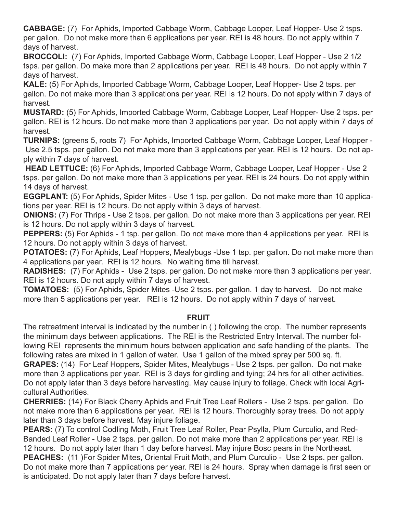**CABBAGE:** (7) For Aphids, Imported Cabbage Worm, Cabbage Looper, Leaf Hopper- Use 2 tsps. per gallon. Do not make more than 6 applications per year. REI is 48 hours. Do not apply within 7 days of harvest.

**BROCCOLI:** (7) For Aphids, Imported Cabbage Worm, Cabbage Looper, Leaf Hopper - Use 2 1/2 tsps. per gallon. Do make more than 2 applications per year. REI is 48 hours. Do not apply within 7 days of harvest.

**KALE:** (5) For Aphids, Imported Cabbage Worm, Cabbage Looper, Leaf Hopper- Use 2 tsps. per gallon. Do not make more than 3 applications per year. REI is 12 hours. Do not apply within 7 days of harvest.

**MUSTARD:** (5) For Aphids, Imported Cabbage Worm, Cabbage Looper, Leaf Hopper- Use 2 tsps. per gallon. REI is 12 hours. Do not make more than 3 applications per year. Do not apply within 7 days of harvest.

**TURNIPS:** (greens 5, roots 7) For Aphids, Imported Cabbage Worm, Cabbage Looper, Leaf Hopper - Use 2.5 tsps. per gallon. Do not make more than 3 applications per year. REI is 12 hours. Do not apply within 7 days of harvest.

 **HEAD LETTUCE:** (6) For Aphids, Imported Cabbage Worm, Cabbage Looper, Leaf Hopper - Use 2 tsps. per gallon. Do not make more than 3 applications per year. REI is 24 hours. Do not apply within 14 days of harvest.

**EGGPLANT:** (5) For Aphids, Spider Mites - Use 1 tsp. per gallon. Do not make more than 10 applications per year. REI is 12 hours. Do not apply within 3 days of harvest.

**ONIONS:** (7) For Thrips - Use 2 tsps. per gallon. Do not make more than 3 applications per year. REI is 12 hours. Do not apply within 3 days of harvest.

**PEPPERS:** (5) For Aphids - 1 tsp. per gallon. Do not make more than 4 applications per year. REI is 12 hours. Do not apply within 3 days of harvest.

**POTATOES:** (7) For Aphids, Leaf Hoppers, Mealybugs -Use 1 tsp. per gallon. Do not make more than 4 applications per year. REI is 12 hours. No waiting time till harvest.

**RADISHES:** (7) For Aphids - Use 2 tsps. per gallon. Do not make more than 3 applications per year. REI is 12 hours. Do not apply within 7 days of harvest.

**TOMATOES:** (5) For Aphids, Spider Mites -Use 2 tsps. per gallon. 1 day to harvest. Do not make more than 5 applications per year. REI is 12 hours. Do not apply within 7 days of harvest.

#### **FRUIT**

The retreatment interval is indicated by the number in ( ) following the crop. The number represents the minimum days between applications. The REI is the Restricted Entry Interval. The number following REI represents the minimum hours between application and safe handling of the plants. The following rates are mixed in 1 gallon of water. Use 1 gallon of the mixed spray per 500 sq. ft.

**GRAPES:** (14) For Leaf Hoppers, Spider Mites, Mealybugs - Use 2 tsps. per gallon. Do not make more than 3 applications per year. REI is 3 days for girdling and tying; 24 hrs for all other activities. Do not apply later than 3 days before harvesting. May cause injury to foliage. Check with local Agricultural Authorities.

**CHERRIES:** (14) For Black Cherry Aphids and Fruit Tree Leaf Rollers - Use 2 tsps. per gallon. Do not make more than 6 applications per year. REI is 12 hours. Thoroughly spray trees. Do not apply later than 3 days before harvest. May injure foliage.

**PEARS:** (7) To control Codling Moth, Fruit Tree Leaf Roller, Pear Psylla, Plum Curculio, and Red-Banded Leaf Roller - Use 2 tsps. per gallon. Do not make more than 2 applications per year. REI is 12 hours. Do not apply later than 1 day before harvest. May injure Bosc pears in the Northeast. **PEACHES:** (11 )For Spider Mites, Oriental Fruit Moth, and Plum Curculio - Use 2 tsps. per gallon. Do not make more than 7 applications per year. REI is 24 hours. Spray when damage is first seen or is anticipated. Do not apply later than 7 days before harvest.